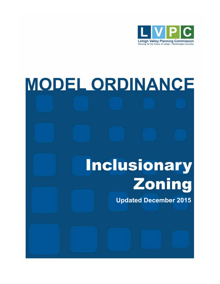

# **MODEL ORDINANCE**

# **Inclusionary Zoning**

**Updated December 2015**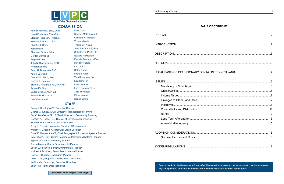**Special thanks to the Montgomery County (PA) Planning Commission for the permission to use the Inclusionary Zoning Model Ordinance as the basis for the model ordinance included in this report.**

Kent H. Herman, Esq., *Chair* Liesel Dreisbach, *Vice Chair* Stephen Repasch, *Treasurer* Norman E. Blatt, Jr., Esq. Christen T. Borso John Brown Shannon Calluori (alt.) Gordon Campbell Eugene Clater John N. Diacogiannis, CPCU Robert Donchez Percy H. Dougherty, PhD Karen Duerholz Charles W. Elliott, Esq. George F. Gemmel Steven L. Glickman, RA, NCARB Armand V. Greco Darlene Heller, AICP (alt.) Edward D. Hozza, Jr. Robert A. Lammi

Kevin Lott Richard Molchany (alt.) Christina V. Morgan Thomas Muller Thomas J. Nolan Sara Pandl, AICP, RLA Salvatore J. Panto, Jr. Edward Pawlowski Pamela Pearson, MBA Hayden Phillips Lynn Prior Kathy Rader Michael Reph Tina Roseberry (alt.) Lisa Scheller Kevin Schmidt Lori Sywensky (alt.) Julie Thomases Elinor Warner Donna Wright



Becky A. Bradley, AICP, Executive Director George G. Kinney, AICP, Director of Transportation Planning Eric C. McAfee, AICP, LEED AP, Director of Community Planning Geoffrey A. Reese, P.E., Director of Environmental Planning Bruce R. Rider, Director of Administration Tracy L. Oscavich, Associate Director of Development William H. Deegan, Architectural/Urban Designer David E. Manhardt, AICP, Chief Geographic Information Systems Planner Ben Holland, GISP, Senior Geographic Information Systems Planner Ngozi Obi, Senior Community Planner Teresa Mackey, Senior Environmental Planner Susan L. Rockwell, Senior Environmental Planner Michael S. Donchez, Senior Transportation Planner Gabriel F. Hurtado, Community Planner Alice J. Lipe, Graphics & Publications Coordinator Kathleen M. Sauerzopf, Executive Secretary Brian Hite, Traffic Data Technician

#### **COMMISSION**

#### **STAFF**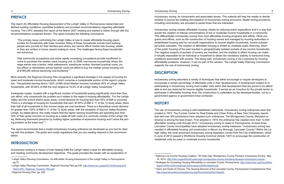#### 2 Inclusionary Zoning Inclusionary Toning Inclusionary Zoning Inclusionary Zoning 3

# **PREFACE**

The report *An Affordable Housing Assessment of the Lehigh Valley in Pennsylvania* researched and defined existing conditions, quantified problems and provided recommendations regarding affordable housing. The LVPC released this report at the March 2007 meeting and started to follow through with the recommendations contained therein. The report included the following conclusions:

"The primary issue confronting the Lehigh Valley is how to create affordable housing opportunities for households with lower incomes. Many of these households include hard-working people who provide for their families and others, but cannot afford market rate housing, whether they are renters or home owners looking to move. The challenges facing these households are numerous.

Vital community occupations and some rapidly increasing occupations provide insufficient income to purchase the median value housing unit. In 2006, one-income households where the wage earner was a janitor, retail salesperson, warehouse worker, licensed practical nurse, police officer or elementary school teacher could not afford to buy the median priced housing unit at \$189,000 without becoming cost burdened."1

More recently, the *Regional Housing Plan* recognized a significant shortage in the supply of housing for lower and moderate income households, which comprise a considerable portion of the region's population. "Households earning above 120% of AMI (Area Median Income) constitute 40% of Lehigh Valley households, with 50-80% of AMI the next largest at 16.6% of all Lehigh Valley households."2

Inadequate supply, coupled with a significant number of households paying significantly more than they can afford, only compounds the problem as it relates to the region's housing affordability. "For the Lehigh Valley and the school district study areas, unmet demand for housing less than 50% of AMI is universal. There is a shortage of housing for households that earn 30-50% of AMI in 11 of the 12 study areas. More than half of all households in this income range are cost burdened. There is a theoretical unmet demand for greater than 120% of AMI in 11 of the 12 study areas, with the exception of Saucon Valley-Southern Lehigh. As stated above, this really means that the higher earning households are spending less than 30% of their gross incomes on housing as a trade-off with costs of a commute outside of the Lehigh Valley. Relieving downward pressure by building higher quantities of expensive housing won't solve the pricing problem at the lower end."3

The report recommends that a model inclusionary housing ordinance be developed as one tool for dealing with this problem. The guide and model regulations that you are reading respond to this recommendation.

# **INTRODUCTION**

Inclusionary zoning is a means of both helping fulfill the Lehigh Valley's need for affordable housing and meeting community development objectives. This guide provides the reader with an explanation of

4 National Low Income Housing Coalition, "40 Years Ago: Montgomery County Pioneers Inclusionary Zoning", May 16, 2014, http://nlihc.org/article/40-years-ago-montgomery-county-maryland-pioneers-inclusionary-zoning. <sup>5</sup> Strategies for Increasing Housing Affordability in Lancaster County, Pennsylvania, <u>http://www.lhop.org/Docs/Strat-</u>

inclusionary zoning, its components and associated issues. This material will help the reader to decide whether to pursue the drafting and adoption of inclusionary zoning provisions. Model zoning provisions, including commentary, are provided to assist those that are interested.

Inclusionary zoning creates affordable housing, ideally by reducing public expenditure and in a way that avoids the creation of intense concentrations of low or moderate income households in a community. This differentiates inclusionary zoning from most affordable housing programs and efforts. Other programs and efforts, such as the construction of housing owned and managed by housing authorities or rehabilitated housing sold by non-profit organizations to income eligible households, involve substantial public subsidies. The creation of affordable housing is limited by available public financing. Much of the public housing of the past resulted in geographically isolated pockets of low income households. The negative impacts of pockets of poverty are manifest, and the inability to afford housing can make it virtually impossible for an individual or household to obtain the necessary stability to transcend living conditions associated with poverty. This being said, inclusionary zoning is not a panacea for housing affordability problems. However, it can be part of the solution. The Lehigh Valley Planning Commission supports the use of inclusionary zoning.

# **DESCRIPTION**

Inclusionary zoning describes a variety of techniques that either encourage or require developers to incorporate a certain percentage of affordable units in their developments. A development subject to or participating in inclusionary zoning must scatter units within that development that are priced to be affordable to and are reserved for income eligible households. It serves as an incentive for the private sector to participate in affordable housing: thus, the construction is undertaken by the developer/builder, not by a government agency or government-hired contractor.

# **HISTORY**

The use of inclusionary zoning is well established nationwide. Inclusionary zoning ordinances were first created in 1972. The Furman Center for Real Estate and Urban Policy at New York University reports that well over 300 jurisdictions have adopted such ordinances. The Montgomery County, Maryland ordinance is among the best known. First adopted in 1974, the ordinance has created more than 12,500 affordable housing units through 2014.<sup>4</sup> Inclusionary zoning is newer in Pennsylvania. At least three Lancaster County municipalities have adopted inclusionary zoning measures.<sup>5</sup> Inclusionary zoning has resulted in affordable housing unit construction in Mount Joy Borough, Lancaster County.6 Within the Lehigh Valley, the most prominent inclusionary zoning legislation comes from the City of Bethlehem, which in June of 2012 passed a Workforce Housing Incentive (Article 1307) to encourage the construction of residential units for lower or moderate income households.

6 Vision and Goals of Choices, The Housing Element of the Lancaster County, Pennsylvania Comprehensive Plan,

<sup>1</sup> Lehigh Valley Planning Commission*, An Affordable Housing Assessment of the Lehigh Valley in Pennsylvania,*  pg.72.

<sup>2</sup> Lehigh Valley Planning Commission*, Regional Housing Plan pg.235, http://www.lvpc.org/pdf/2014/Housing%20 Plan/LVPC\_Regional\_Housing\_Plan.pdf.*

<sup>3</sup>  *Regional Housing Plan,* pg. 236.

egies%20for%20Increasing%20Housing%20Affordability.pdf.

http://www.lancastercountyplanning.org/DocumentCenter/View/20.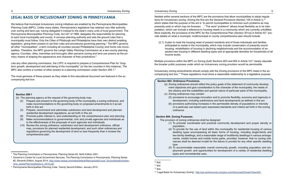# **LEGAL BASIS OF INCLUSIONARY ZONING IN PENNSYLVANIA**

We believe that municipal inclusionary zoning initiatives are enabled by the Pennsylvania Municipalities Planning Code (MPC). Unlike many states, Pennsylvania's legislature has retained very little authority over zoning and land use, having delegated it instead to the state's many units of local government. The Pennsylvania Municipalities Planning Code, Act 247 of 1968, delegates the responsibility for planning to each local municipality and county. It conveys planning authority and sets the ground rules that a municipality must follow. Only the Cities of Pittsburgh and Philadelphia have their own distinct enabling legislation, giving them powers to set their rules and procedures governing planning.<sup>7</sup> The MPC governs all other "municipalities", a term including all counties (except Philadelphia County) and home rule municipalities. Therefore, the MPC governs the Lehigh Valley Planning Commission as a two-county planning agency. Counties, cities, townships and boroughs often perceive zoning and land use powers as the primary means of shaping the appearance and character of their jurisdictions.<sup>8</sup>

Like any other planning commission, the LVPC is required to prepare a Comprehensive Plan for "longterm growth, development and well-being of the municipality" (or the two counties in this instance). The MPC also confers a number of other powers to a planning commission under Section 209.1.<sup>9</sup>

The most germane of these powers as they relate to this educational document are featured in the accompanying text box.

#### 4 Inclusionary Zoning Inclusionary Toning Inclusionary Zoning Inclusionary Zoning 5 to the state of  $5\,$

#### **Section 603. Ordinance Provisions.**

(a) Zoning ordinances should reflect the policy goals of the statement of community development objectives and give consideration to the character of the municipality, the needs of the citizens and the suitabilities and special nature of particular parts of the municipality.

Multiple provisions within the MPC on Zoning (both Sections 603 and 604 in Article VI)<sup>12</sup> clearly stipulate the broader public purposes under which an inclusionary zoning provision would be permissible.

- 
- (c) Zoning ordinances may contain:
- 
- ordinance.

(5) provisions to encourage innovation and to promote flexibility, economy and ingenuity in development, including subdivisions and land developments as defined in this act. (6) provisions authorizing increases in the permissible density of populations or intensity of a particular use based upon expressed standards and criteria set forth in the zoning

#### **Section 604. Zoning Purposes.**

The provision of zoning ordinances shall be designed: (1) To promote coordinated and practical community development and proper density or

(4) To provide for the use of land within the municipality for residential housing of various dwelling types encompassing all basic forms of housing, including single-family and two-family dwellings, and a reasonable range of multifamily dwellings in various arrangements, mobile homes and mobile home parks, provided, however, that no zoning ordinances shall be deemed invalid for the failure to provide for any other specific dwelling

- population.
- type.
- types and nonresidential uses.

(5) To accommodate reasonable overall community growth, including population and employment growth, and opportunities for development of a variety of residential dwelling

Nestled within several sections of the MPC are the provisions that allow municipalities to adopt regulations for inclusionary zoning. Among the first are the General Provisions (Section 105 in Article I),<sup>10</sup> which states that the purpose of the act is "to permit municipalities to minimize such problems as may presently exist or which may be foreseen. . ." The word "problems" allows broad flexibility as to its interpretation, which can include a reference to housing needs in a community which are currently unfulfilled. More explicitly, the provisions of the MPC for the Comprehensive Plan (Section 301(a) in Article III)<sup>11</sup> provide details on what a municipal, multimunicipal or county comprehensive plan should include:

(2.1) A plan to meet the housing need of present residents and of those individuals and families anticipated to reside in the municipality, which may include conservation of presently sound housing, rehabilitation of housing in declining neighborhoods and the accommodation of expected new housing in different dwelling types and at appropriate densities for households of all

income levels.

Inclusionary zoning amendments should comply with the Zoning provisions of the MPC listed in the accompanying text box.13 These regulations must show a reasonable relationship to a legislative purpose.

#### **Section 209.1**

- (b) The planning agency at the request of the governing body may:
	- (2) Prepare and present to the governing body of the municipality a zoning ordinance, and make recommendations to the governing body on proposed amendments to it as set forth in this act.
	- (3) Prepare, recommend and administer subdivision and land development and planned residential development regulations, as set forth in this act.
	- (8) Promote public interest in, and understanding of, the comprehensive plan and planning.
	- (9) Make recommendations to governmental, civic and private agencies and individuals as to the effectiveness of the proposals of such agencies and individuals.
	- (14) Review the zoning ordinance, subdivision and land development ordinance, official map, provisions for planned residential development, and such other ordinances and regulations governing the development of land no less frequently than it reviews the comprehensive plan.

<sup>7</sup> The Planning Commission in Pennsylvania, Planning Series #2, Ninth Edition 2001.

<sup>&</sup>lt;sup>8</sup> Governor's Center for Local Government Services, The Planning Commission in Pennsylvania: Planning Series #2, Eleventh Edition, August 2014, http://www.newpa.com/sites/default/files/uploads/Local\_Gov/publications/planning\_series/PlanningSeries-2\_2014.pdf.

<sup>9</sup> Pennsylvania Municipalities Planning Code, Twenty Second Edition, January 2015.

 $10$  Ibid.

 $11$  Ibid.

 $12$  Ibid.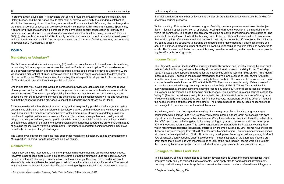In order to attract developers, it is advisable that zoning provisions provide incentives to offset any regulatory burden, and the ordinance should offer relief or alternatives. Lastly, the standards established should be clear enough to avoid arbitrary interpretation. Fortunately, the MPC is very clear with regard to the matter of density bonuses that are typically used in connection with inclusionary zoning. Specifically, it allows for "provisions authorizing increases in the permissible density of population or intensity of a particular use based upon expressed standards and criteria set forth in the zoning ordinance" (Section 603(d)), which authorizes municipalities to apply density bonuses as an incentive to induce developers to include other features that might "encourage innovation and to promote flexibility, economy and ingenuity in development." (Section  $603(c)(5)$ ).<sup>14</sup>

# **ISSUES**

#### **Mandatory or Voluntary?**

The first issue faced with inclusionary zoning (IZ) is whether compliance with the ordinance is mandatory or voluntary. Voluntary approaches involve the creation of a development option. That is, a developer could develop conventionally under a given set of rules, or he could choose to develop under the IZ provisions with a different set of rules. Incentives would be offered in order to encourage the developer to choose the IZ option. Without incentives, it is unlikely that a for-profit developer would choose the use of IZ. This Guide will describe incentives provisions in detail.

Under mandatory IZ, developers would be compelled to provide affordable housing in order to receive plan approval and/or permits. The mandatory approach can be undertaken both with incentives and also with no incentives. The advantages of providing incentives are that they respond to the equity issues associated with the requirement, increase the potential for the political acceptability of IZ and reduce the risk that the courts will find the ordinance to constitute a legal taking or otherwise be illegal.

Experience nationwide has shown that mandatory inclusionary zoning provisions induce greater participation, since all builders must participate. In jurisdictions where both mandatory and voluntary provisions have been used, the mandatory provisions have yielded more units. However, mandatory provisions could yield negative political consequences: for example, if some municipalities in a housing market adopt mandatory inclusionary zoning provisions while others do not, it is possible that builders and developers could shift their activities to those municipalities that had not adopted the provisions as a means of avoiding the inclusionary zoning requirements. Furthermore, mandatory zoning provisions may prove more likely the subject of legal challenges.

The Commonwealth can increase the legal support for mandatory inclusionary zoning by amending the Municipalities Planning Code to clearly enable such zoning.

#### **Onsite/Offsite**

Inclusionary zoning is intended as a means of providing affordable housing on sites being developed. However, other options exist. IZ can also be structured so that the affordable units are sited elsewhere or that the affordable housing requirements are met in other ways. One way that the ordinance could allow offsite units would have the developer construct the affordable units at a different site. The second way that the ordinance could meet the affordable housing obligations would have the developer make a

#### financial contribution to another entity such as a nonprofit organization, which would use the funding for

affordable housing purposes.

While providing offsite options increases program flexibility, onsite approaches meet two critical objectives: 1) location-specific provision of affordable housing and 2) true integration of the affordable units within the community. The offsite approach only meets the objective of providing affordable housing. The units would be sited in an all-affordable housing area. If offered, offsite options should be less attractive than onsite options. Otherwise, the developer would be likely to choose the offsite options. The inclusionary zoning should be structured to increase the amount of affordable housing if offsite options are chosen. For instance, a greater number of affordable dwelling units could be required offsite as compared to onsite. The financial contribution to nonprofit housing providers would be greater than the cost of providing the affordable housing onsite.

#### **Income Target**

The *Regional Housing Plan* found "the housing affordability analysis and the jobs-housing balance analysis indicate that housing values in the Valley do not reflect local households' ability to pay. The Lehigh Valley market is undersupplied in housing for the households earning less than 50% of AMI (Area Median Income) (\$29,350), based on the housing affordability analysis, and even up to 80% of AMI (\$46,960) from the more income conservative jobs-housing balance analysis. The total number of owner and rental cost burdened households under 50% of AMI is 40,750. The most vulnerable Lehigh Valley households are the least served, with large housing shortages below 30% of AMI (\$17,610). This translates into many households at the lowest incomes being forced to pay above 30% of their gross income for housing, exceeding the threshold and becoming cost burdened. The alternative is to seek housing outside the Valley."15 (The term workforce housing is often used in lieu of moderate income persons.) Other groups include the elderly, the handicapped and first time homebuyers. Inclusionary zoning is better at meeting the needs of certain of these groups than others. The program needs to identify those households that will be eligible to purchase or rent the affordable units.

Inclusionary zoning can be targeted to a variety of income groups. Some housing programs target households with incomes up to 120% of the Area Median Income. Others target households with earnings at or below the average Area Median Income. While these other income limits have their advocates, the LVPC recommends that targeting inclusionary zoning programs to households with incomes up to 80% of the Area Median Income. This recommendation is consistent with the *Regional Housing Plan,* which recommends targeting inclusionary efforts to low income households. Low income households are those with incomes ranging from 50 to 80% of the Area Median Income. This recommendation coincides with the experience gained with Florin Hill, a housing development featuring inclusionary zoning in Mount Joy, Lancaster County currently under development. The administrators of the affordable housing program found that households with incomes close to 80% of the Area Median Income were able to meet the continuing financial obligations, which included the mortgage payments, taxes and insurance.

#### **Linkages to Other Land Uses**

The inclusionary zoning program needs to identify developments to which the ordinance applies. Most programs apply solely to residential developments. Some apply also to nonresidential development. Housing production requirements applied to non-residential development are referred to as linkage pro-

<sup>14</sup> Pennsylvania Municipalities Planning Code, Twenty Second Edition, January 2015.

<sup>15</sup> *Regional Housing Plan,* pg.238.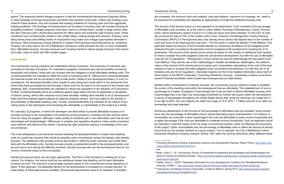grams. The reasoning behind linkage programs is that the nonresidential development (typically offices or other buildings involving employment) will attract new workers to the area. Unless new housing is provided for these workers, they will compete with existing residents for housing units and thus aggravate existing problems. The shortage of housing stock and increase in housing costs will increase housing affordability problems. Linkage programs have been used on a limited basis, usually in large central cities like San Francisco with a tremendous demand for office space and extremely high housing costs. These conditions have not historically existed in the Lehigh Valley, making linkage less relevant; however, escalating home prices and shifting nodes of employment may make such linkage opportunities desirable in the future. Most inclusionary zoning initiatives in eastern Pennsylvania brand themselves as "workforce housing" (as is the case in the 2012 Bethlehem ordinance), partly because the term is more marketable than "affordable housing", but also because such housing intends to attract people because of its proximity to jobs, many of which will offer modest wages.

#### **Incentives**

Few inclusionary zoning programs are undertaken without incentives. The purposes of incentives vary according to the type of program. For mandatory programs, incentives are used as benefits accrued by developers and builders, those who are charged with the obligation to build affordable dwelling units. The incentives/benefits are intended to offset the costs of complying with IZ. Without such incentives/benefits, the financial burden will be conveyed to the private sector, initially to the developers/builders. In such circumstances, the developers/builders have sought to pass along such costs either to the landowner from whom they have purchased the land through a lower price for the land or to the buyers of the market rate dwellings. Also, incentives/benefits are intended to reduce the opposition to the adoption of IZ provisions. Further, incentives/benefits serve as a defense against legal claims that the IZ represents a repudiation of historic zoning, which often required much lower densities. Adding other benefits to an IZ development helps fend the proposal against attacks by adjacent property owners, who may object to the density or the possibility of affordable dwelling units. Overall, incentives/benefits are intended as the means of providing equity to the participants and increasing the desirability or marketability of the project as a whole.

For voluntary IZ programs, in which the developer can elect either to provide affordable housing or to proceed pursuant to the municipality's conventional zoning provisions, incentives are the obvious enticement for using the program. Although a wide variety of incentives are in use nationwide, each has its own advantages and disadvantages. Differences in markets and regulatory situations make certain incentives more relevant and effective than others. Choosing the right incentives requires a knowledge of the local circumstances.

The most widespread of all incentives involves allowing the developer/builder to create more dwelling units on a particular property than would be possible under conventional zoning: the already cited density bonuses. The additional units provide revenue and profits to offset the lower revenues and profits attendant with the affordable units. Density bonuses provide a substantial benefit to the developer/builder and as such serve as a strong and effective incentive. Density bonuses also are favored because they do not involve a financial outlay by the municipality.

18 Read, Justin C., JD, "Inclusionary Zoning: A Framework for Assessing the Advantages and Disadvantages Prepared for Homes for Working Families", http://community-wealth.org/sites/clone.community-wealth.org/files/down-

Density bonuses primarily use two basic approaches. The first is a flat increase for meeting the IZ provisions. For instance, the bonus could be one additional market rate dwelling unit for each affordable housing unit built. The second is a percentage increase based on the conventional zoning regulations in place. In this approach, the allowable density for the development is increased by a certain percent. To make either of these approaches workable, dimensional requirements need to be adjusted. If densities

are increased, the minimum front yard setback, side yard setback, maximum lot coverage, etc. need to be examined for workability and adjusted as appropriate to include the additional housing units.

The amount of the density bonus is a key standard to be determined. It can correlate to the percentage of affordable units provided, as is the case in Lower Salford Township of Montgomery County, Pennsylvania, where developers receive a bonus of .5 units per gross acre when between 15 and 25% of units are produced for sale at 75% of the market units or less. However, the Montgomery County Planning Commission (MCPC) in Pennsylvania also cites density bonus tactics that depend less on the number of units and more on the financing and cash flow.<sup>16</sup> The first tactic is called the *Builder's Profit Method*. This approach bases the amount of the increased density by comparing calculations of the budgeted profit achieved through conventional development and the budgeted profit resultant from meeting the IZ requirements. The amount of the density bonus would be based on the number of additional units needed to meet or exceed the profit budgeted under the conventional development, but with the use of affordable units per the IZ regulations.17 Montgomery County names the second methodology the *Equivalent Land Cost Method*. They cite the use of this methodology in Seattle and Bellevue, Washington. The determination of the amount of the density bonus is based upon comparative calculations of the cost of the land needed to meet or exceed the profit budgeted under conventional development, but with the use of affordable units per the IZ regulations. Interested readers can find more detailed information about both of these tactics in the MCPC publication, *Promoting Workforce Housing – Expanding Locations and Development Potential* (available online at planning.montcopa.org and cited below).

Nestled within considerations of density bonuses, the inclusionary zoning ordinance needs to establish the portion of the dwelling units within the development that are affordable. The establishment of such a percentage is a matter of judgment. A percentage that is too low fails to deliver affordable housing units. A percentage that is too high may discourage investment by market rate buyers within the development. A survey of percentages throughout the United States shows that, while the extremes can range from 5 to as high as 60%, the vast majority are within the range of 10 to 20%.<sup>1819</sup> Fifteen percent is an often recommended and used standard.

Numerous adjustments to the formula for the percentage of affordable units are possible. Some jurisdictions vary the percentage of affordable units to reward desirable project characteristics. For instance, a municipality can prescribe a lower percentage if the units are affordable to lower income households and a higher percentage if the units are affordable to moderate income households. Such an approach would be intended to meet the needs of the full range of household incomes, while not affecting the economics of the project. Other municipalities vary the percentage of affordable units to reflect the amount of density bonus that can be actually realized on a given project.<sup>20</sup> As an example, the City of Bethlehem's aforementioned Workforce Housing Incentive (Article 1307 within the Zoning Ordinance) offers different levels

19 Callies, David L., FAICP, "Mandatory Set-Asides As Land Development Conditions For Affordable/Workforce 20 "Inclusionary and Mixed Income Communities", Evidence Matters, Spring 2013, http://www.huduser.org/portal/

16 Promoting Workforce Housing: Expanding Locations and Development Potential, Report Three, http://www.mont-

copa.org/DocumentCenter/View/4121. <sup>17</sup> *Ibid.*

loads/report-read.pdf.

Housing", ACREL1, http://www.acrel.org/Documents/Seminars/Callies-Mandatory%20Set-Asides.pdf.

periodicals/em/spring13/highlight3.html.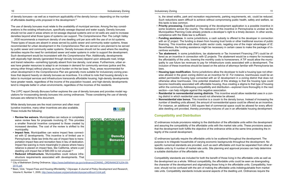of density bonuses—as well as a maximum applicability of the density bonus—depending on the number of affordable dwelling units proposed in the development.21

The use of density bonuses must relate to the availability of municipal services. Among the key considerations is the existing infrastructure, specifically sewage disposal and water supply. Density bonuses should not be used in areas where on lot sewage disposal systems and on lot wells are used to increase densities beyond what those types of systems can support. The *Comprehensive Plan The Lehigh Valley … 2030* recommends a maximum density of one dwelling unit per acre with the use of on lot systems. These types of issues are absent in areas served by public sewer and community water systems. Areas recommended for urban development in the *Comprehensive Plan* are served or are planned to be served by public sewer and community water systems. Density bonuses should not be used where the resulting densities require the need for centralized sewer and water systems in order to support the development. Such development would be inconsistent with the *Comprehensive Plan*. Additionally, developments with atypically high density (generated through density bonuses) depend upon adequate road, bridge and transit networks—something typically absent from low density, rural areas. Furthermore, urban areas have greater resources to adapt to an increase in demand for community services (police and fire, among other things) without placing as much burden on the tax base. Thus, areas recommended for urban development in the *Comprehensive Plan* are generally more suitable for inclusionary zoning practices that depend heavily on density bonuses as incentives. It is critical to note that housing density's relation to municipal services and infrastructure transcends affordable housing; high-density developments have greater needs, regardless of the income of the population housed, and high-density developments tend to integrate better in urban environments, regardless of the incomes of the residents.

The LVPC report *Density Bonuses* further explores the use of density bonuses and provides model regulations for incorporating density bonuses into zoning ordinances. Those considering the use of density bonuses are referred to this document.

While density bonuses are the most common and often most lucrative incentive, many other incentives are also available. These include the following:

- **Review fee waivers.** Municipalities can reduce or completely waive review fees for proposals involving IZ. This provides a smaller financial incentive compared to those created by increased densities. The cost of the review is shifted to the municipality.
- **Impact fees.** Municipalities can waive impact fees connected with IZ developments. This incentive is of limited use in Pennsylvania. State law limits the use of impact fees to transportation impact fees and recreation fees in lieu of dedication. Impact fee waiving is more meaningful in places where heavy reliance is placed on impact fees, like California, where a per dwelling unit impact fee of \$40,000 is not unusual.<sup>22</sup>
- **Reduced infrastructure.** Municipalities could reduce infrastructure requirements associated with developments. That
- <sup>21</sup> City of Bethlehem Zoning Ordinance, https://www.bethlehem-pa.gov/ordinance/ZONING\_ORDINANCE%204-09-2015.pdf.
- <sup>22</sup> Been, Vicki, "Impact Fees and Housing Affordability," *Cityscape: A Journal of Policy Development and Research*, Volume 8, Number 1, 2005, http://www.huduser.org/periodicals/cityscpe/vol8num1/ch4.pdf.



is, the street widths, park and recreation requirements, parking requirements, etc. could be reduced. Such reductions seem difficult to achieve without compromising public health, safety and welfare, so this tactic is less common.

• **Priority processing.** Expedited processing of the development application is a possible incentive in some locations across the country. The relevance of this incentive in Pennsylvania is unclear as the Municipalities Planning Code already protects a developer's right to a timely decision. In other words,

• **Funding assistance.** In some jurisdictions, a cash subsidy is offered to the developer in connection with an IZ project. The funding is drawn from housing trust funds or other traditional sources of public financing. This incentive adds direct public sector costs, negating one of the major advantages of IZ. Nevertheless, the funding assistance might be necessary in certain cases to make the package of in-

• **Tax abatement.** In some jurisdictions, tax abatements or Tax Increment Financing (TIF) could be offered as an incentive in connection with IZ projects. The abatement would be a means for increasing the affordability of the units, lowering the monthly costs to homeowners. A TIF would allow the municipality to use future tax revenues to pay for infrastructure costs associated with a development. The inclusion of these incentives should be based on the advice of attorneys familiar with Pennsylvania tax

- compliance with the State law is sufficient.
- centives workable.
- laws.
- section—can help mitigate against this negative association.
- ing district in which residential uses would not otherwise be allowed.
- 

• **Housing type modification.** Some jurisdictions allow the developer to build a housing type not otherwise allowed in the given zoning district as an incentive for IZ. For instance, townhouses could be an added permissible housing type connected with an IZ development in a zoning district that does not otherwise allow townhouses. One potential drawback of this strategy is that the housing type could become inextricably associated with affordable housing, thus creating a stigma to that type of housing within the community. Addressing compatibility and distribution—explored more thoroughly in the next

• **Residential in nonresidential zoning districts.** This incentive would allow residential uses in a zon-

• **Nonresidential size bonus.** This incentive is a cousin to the density bonus. Instead of increasing the number of dwelling units allowed, the amount of nonresidential space could be offered as an incentive. For instance, an additional 1,000 square feet of commercial space could be allowed for every affordable dwelling unit provided, thereby promoting mixtures of use in an affordable housing development.

# **Compatibility and Distribution**

IZ ordinances include provisions relating to the distribution of the affordable units within the development and assuring the compatibility of the affordable units with the market rate units. These provisions assure that the development both fulfills the objective of the ordinance while at the same time protecting the integrity of the overall development.

IZ ordinances typically require the affordable units to be scattered throughout the development. The purpose is to integrate households of varying economic backgrounds throughout the development. No specific numerical standards are provided, such as each affordable unit must be separated from other affordable units by X number of market rate units. Site planning and approval process can help determine a suitable distribution of the affordable units.

Compatibility standards are included for both the benefit of those living in the affordable units as well as the development as a whole. Without compatibility, the affordable units could be seen as downgrading the character of the development and stigmatizing those living in the affordable units. Compatibility, however, should not be confused with the aim of making the affordable units indistinguishable from market rate units. Compatibility standards include several aspects of the dwelling unit. Ordinances require the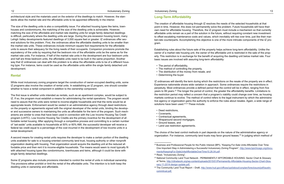The size of the dwelling units is also a compatibility issue. For attached housing types like twins, townhouses and condominiums, the matching of the size of the dwelling units is achievable. However, matching the size of the affordable and market rate dwelling units for single family detached dwellings is difficult, particularly where the dwelling units are large. During the pre-recession housing boom, many Lehigh Valley developments featured dwellings of 3,000 square feet or greater. IZ ordinances offer several solutions for this problem. First, the ordinances allow the affordable dwelling units to be smaller than the market rate units. These ordinances include minimum square foot requirements for the affordable units to assure their adequacy for the living needs of their occupants. Companion provisions promote the equivalency of the units by requiring that the bedroom mix of the affordable units be the same as for the market rate units. For instance, if half of the market rate units in the development are four bedroom units and half are three bedroom units, the affordable units need to be built in the same proportion. Another way that IZ ordinances can deal with this problem is to allow the affordable units to be of a different housing type. For instance, twins could be used as the affordable units within the single family detached unit development.

#### **Rental**

While most inclusionary zoning programs target the construction of owner-occupied dwelling units, some IZ programs also involve the creation of rental units. In establishing an IZ program, one should consider whether to have a rental component in addition to the ownership component.

The first issue is whether units intended as rentals, such as an apartment complex, would be subject to IZ. If so, the program must establish a means for administering the rental operations. The program would need to assure that the units were rented to income-eligible households and that the rents would be at appropriate levels. Enforcement would be vested in an administrative agency through deed restrictions on the property or agreements signed with the original developer of the rental units, binding the developer and successive owners to maintaining the units as affordable for the term of the program. Such mechanisms are similar to ones that have been used in connection with the Low Income Housing Tax Credit program (LIHTC). Low Income Housing Tax Credits are the primary incentive for the development of affordable rental housing. After applying through a competitive process and committing to a certain number of "set-aside" units available to households at 50% or 60% AMI, the successful developer will receive a federal tax credit equal to a percentage of the cost incurred in the development of low income units in a rental development.

IZ ordinances will identify the term during which the restrictions on the resale of the property are in effect. Experience nationwide shows wide variation in approach. Some ordinances require the restrictions in perpetuity. Most ordinances provide a defined period that the control will be in effect, ranging from five years to 99 years.23 The longer the period of control, the greater the affordability benefits. Limitations to the restriction period may reflect a concern that a program's viability could change over time, as housing markets continue to evolve. The method of control refers to the legal instrument by which the administrative agency or organization gains the authority to enforce the rules about resales. Again, a wide range of solutions have been used.<sup>24 25</sup> These include:

The choice of the best control methods in part depends on the nature of the administrative agency or organization. For instance, community land trusts may favor ground leases.<sup>26</sup> In judging which method of

<sup>23</sup> Business and Professional People for the Public Interest (BPI), "Keeping For-Sale Units Affordable Over Time: One Important Step in Administering a Successful Inclusionary Zoning Program", http://www.bpichicago.org/docu-

A second means for creating rental units requires the developer to make a certain portion of the dwelling units available for sale to a housing-oriented community land trust, housing authority or other nonprofit organization dealing with housing. That organization would acquire the dwelling unit at the reduced affordable price and then rent it to income-eligible households. The means would seem to most typically fit with attached housing types like condominiums, townhouses and twins, although it could be done with single family detached dwellings.

Some IZ programs also include provisions intended to control the rental of units in individual ownership. The provisions either prohibit or limit the rental of the affordable units. The intention is to both keep the dwelling units in ownership and affordable.

#### **Long-Term Affordability**

The creation of affordable housing through IZ resolves the needs of the selected households at that point in time. However, this does not permanently solve the problem. Future households will have their own need for affordable housing. Therefore, the IZ program must include a mechanism so that currently affordable units remain as a part of the solution in the future, without requiring constant new investment to offset escalating maintenance costs and values, which inevitably will rise over time, just like their market-rate counterparts. Accomplishing this objective is one of the more intricate components of the IZ program.

Establishing rules about the future sale of the property helps achieve long-term affordability. Unlike the owner of a market rate housing unit, the owner of the affordable unit is restricted in the sale of the property. This restriction is in exchange for the benefit of acquiring the dwelling unit below market rate. Four basic issues are involved with assuring long-term affordability:

- The period of affordability,
- The method of controlling the property,
- The distribution of the money from resale, and
- Determining the buyer.

- Deed restrictions,
- Covenants,
- Contractual agreements,
- Wraparound second mortgages,
- Ground leases, and
- Land use restriction agreements.

25 National Community Land Trust Network : PERMANENTLY AFFORDABLE HOUSING: Sector Chart & Glossary of Terms, http://cltnetwork.org/wp-content/uploads/2015/01/Permanently-Affordable-Housing-Sector-Chart-Glos-

26 The Community Land Trust Report – Draft, http://www.hud.gov/offices/cpd/about/conplan/foreclosure/pdf/austin-

ments/KeepingFor-SaleUnitsAffordableOverTime10.26.04.pdf .

<sup>24</sup> Read, "Inclusionary Zoning".

sary-11-2014-design-update.pdf.

commtrust.pdf.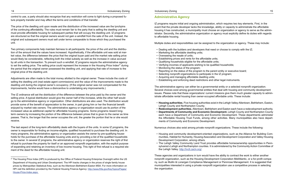control to use, a party should also recognize that any restriction will come to light during a proposed future property transfer and may affect the terms and conditions of that transfer.

The price of the dwelling unit upon resale and the distribution of the increased value are the lynchpins of the continuing affordability. The rules must remain fair to the party that is selling the dwelling unit and must provide affordable housing for subsequent parties that will occupy the dwelling unit. IZ programs are structured so that the original owners would not gain a windfall from the sale of the unit. Instead, the original and subsequent owners must sell under terms comparable to those which they purchased the unit.

Two primary components help maintain fairness to all participants: the price of the unit and the distribution of the amount that the values have increased. Hypothetically, if the affordable unit was sold at market value, the difference between the price that the original buyer paid and the market rate selling price would likely be considerable, reflecting both the initial subsidy as well as the increase in value accrued by all units in the transaction. To prevent such a windfall, IZ programs require the administrative agency to set the selling price. The selling price could represent the increase in the Housing Price Index<sup>27</sup> during the period that the original owner possessed the dwelling unit, and applying that rate of increase to the original price of the dwelling unit.

Adjustments are often made to the total money allotted to the original owner. These include the costs of selling the dwelling unit (real estate agent commissions) and the value of the improvements made to the dwelling unit during the original owner's occupancy. (If the original owner was not compensated for the improvements, he/she would have a disincentive to undertaking any improvements.)

#### 14 Inclusionary Zoning Inclusionary Toning Inclusionary Zoning Inclusionary Zoning 15

The IZ ordinance will set the distribution of the difference between the price paid by the owner and the selling price. A typical distribution would give the owner half of the increase, while the other half would go to the administrative agency or organization. Other distributions are also used. The distribution would provide some of the benefit of appreciation to the owner, in part giving him or her the financial benefit enjoyed by market rate owners. The administrative agency or organization would use its portion of the increased value as additional capital for affordable housing programs. Some programs reward longterm owners by increasing the portion of the difference between prices that is given to the owner as time passes. That is, the longer that the owner occupies the unit, the greater the portion that he or she would receive.

The last aspect of the long-term affordability deals with the buyers of the units. In some IZ programs, the owner is responsible for finding an income-eligible, qualified household to purchase the dwelling unit. In many programs, the administrative agency or organization assists the owner by pre-qualifying households for the purchase of the affordable housing units and by providing a list of the qualified households to the owner. In several IZ programs, the administrative agency or organization reserves the right of first refusal to purchase the property for itself or an approved nonprofit organization, with the explicit purpose of expanding and retaining an inventory of low income housing. This right of first refusal is a required element of the deed for the affordable housing unit.

#### **Administrative Agency**

IZ programs require initial and ongoing administration, which requires two key elements. First, in the event that the private developer lacks the knowledge, ability or capacity to administrate the affordable housing it has constructed, a municipality must choose an organization or agency to serve as the administrator. Secondly, the administrative organization or agency must explicitly define its duties with regards to affordable housing.

Multiple duties and responsibilities can be assigned to the organization or agency. These may include:

- Dealing with the builders and developers that need or choose to comply with the IZ;
- Marketing the affordable dwelling units;
- Overseeing the resale of units;
- Establishing prices and rents for the affordable units;
- Qualifying households eligible for the affordable units;
- Verifying incomes of applicants wishing to be qualified households;
- Monitoring the status of the program;
- Reporting on the status of the program to the parent entity or executive board;
- Selecting nonprofit organizations to participate in the IZ program;
- Acquiring and managing affordable dwelling units;
- Establishing and enforcing deed restrictions and other legal instruments.

The administrative agency can either be a governmental entity or a selected nonprofit organization. Several choices exist among governmental entities that deal with housing and community development issues. Please note that these organizations' current missions give them much greater capacity to administrate affordable rental housing than owner-occupied affordable units. These include:

• **Housing authorities.** Five housing authorities exist in the Lehigh Valley:Allentown, Bethlehem, Easton,

• **Redevelopment authorities.** Allentown, Bethlehem and Easton each have a redevelopment authority. • **Departments of Community and Economic Development.** Lehigh County and Northampton County each have a Department of Community and Economic Development. These departments administer the Affordable Housing Trust Funds, among other activities. Many municipalities also have depart-

- Lehigh County and Northampton County.
- 
- ments of Community and Economic Development.

Numerous choices also exist among private nonprofit organizations. These include the following:

• Housing and community development-oriented organizations, such as the Alliance for Building Communities, Habitat for Humanity, Housing Association and Development Corporation and Valley Housing

• The Lehigh Valley Community Land Trust provides affordable homeownership opportunities in Pennsylvania's Lehigh and Northampton counties. It is administered by the Community Action Committee of

- Development Corporation, among others.
- the Lehigh Valley. http://lvclt.caclv.org/.

These agencies and organizations in turn would have the ability to contract the work to either another nonprofit organization, such as the Housing Development Corporation MidAtlantic, or a for-profit company, such as Mullin & Lonergan Compliance Management or Pennrose Management. It is suggested that municipalities interested in using a private nonprofit organization use a competitive process in selecting the organization.

<sup>&</sup>lt;sup>27</sup> The Housing Price Index (HPI) is produced by the Office of Federal Housing Enterprise Oversight within the US Department of Housing and Urban Development. The HPI tracks changes in the prices of single family house prices by Metropolitan Statistical Area, such as the Allentown-Bethlehem-Easton MSA. For more information on HPI visit the definition provided by the Federal Housing Finance Agency: http://www.fhfa.gov/KeyTopics/Pages/ House-Price-Index.aspx.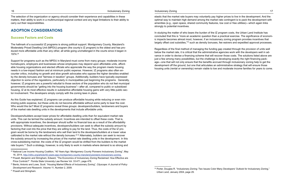The selection of the organization or agency should consider their experience and capabilities in these matters, their ability to work in a multimunicipal regional context and any legal limitations to their ability to carry out their responsibilities.

# **ADOPTION CONSIDERATIONS**

#### **Success Factors and Costs**

The hallmark of a successful IZ programs is strong political support. Montgomery County, Maryland's Moderately Priced Dwelling Unit (MPDU) program (the county's IZ program) is the oldest and has produced more affordable units than any other, all while going unchallenged in the courts since it began in 1974.28

Support for programs such as the MPDU in Maryland must come from many groups: moderate income homebuyers, employers and businesses whose employees may depend upon affordable units, affordable housing organizations and elected officials who appreciate the way the program meets housing needs in a low-impact fashion and at minimum public expense. However, IZ programs also often encounter critics, including no growth and slow growth advocates who oppose the higher densities enabled by the density bonuses and "fairness in taxation" groups. Additionally, builders have typically expressed objection to some of the regulations, particularly in municipalities just beginning the programs. Generally, however, IZ programs are a powerful rebuttal to those sectors of the population who do not feel municipal governments should be "getting into the housing business"—after all, compared to public or subsidized housing, IZ at its most effective results in substantive affordable housing gains with very little public sector involvement. The developers simply comply with the zoning laws in place.

As this Guide has explained, IZ programs can produce affordable housing while reducing or even minimizing public expense, but these units do not become affordable without some party to bear the cost. Who would this be? Most IZ programs reveal three groups: developers/builders, landowners and buyers of the market rate dwelling units in the developments that include affordable units.

In studying the matter of who bears the burden of the IZ program costs, the Urban Land Institute has concluded that this is "more an academic question than a practical exercise. The significance of economic impacts becomes almost moot, however, if an inclusionary zoning program provides incentives that largely offset cost subsidies,"<sup>32</sup> such as density bonuses, fee waivers and expedited approval processes.

Developers/builders accept lower prices for affordable dwelling units than for equivalent market rate units. This can be termed the subsidy amount. Incentives are intended to offset these costs. That is, with appropriate incentives, the developer should suffer no financial loss as a result of the affordability provisions. Without adequate incentives, developers/builders can seek to offset the subsidy amount by factoring that cost into the price that they are willing to pay for the land. Thus, the costs of the IZ program would be borne by the landowners who sell their land to the developers/builders at a lower value calibrated to the market rate without the density bonuses.29 30 Alternately, builders can seek to recover the subsidy amount by increasing the prices of the market rate dwelling units in the development. In this cross-subsidizing manner, the costs of the IZ program would be shifted from the builders to the market rate buyers.31 Such a strategy, however, is only likely to work in markets where demand is so strong and

<sup>31</sup> Powell and Stringham.

#### 16 Inclusionary Zoning Inclusionary Toning Inclusionary Zoning Inclusionary Zoning 17

elastic that the market rate buyers may voluntarily pay higher prices to live in the development. And the optimal way to maintain high demand among the market rate contingent is to pack the development with amenities (e.g., open space, shared community features, low cost or free utilities)—which again links strongly to potential incentives.

Regardless of the final method of managing the funding gap created through the provision of units well below the market rate, it is critical that the administrative agencies work with the developers well in advance in order to devise a financing scheme that will recover those costs. The solutions listed above are just a few among many possibilities, but the challenge is developing exactly the right financing package—one that will not only ensure that the benefits accrued through inclusionary zoning help to get the development off the ground, but one that articulates an administrative strategy that will ensure those housing units (rental or ownership) remain viable to low and moderate income families for years to come.

<sup>&</sup>lt;sup>28</sup> National Low Income Housing Coalition, "40 Years Ago: Montgomery County Pioneers Inclusionary Zoning", May 16, 2014, http://nlihc.org/article/40-years-ago-montgomery-county-maryland-pioneers-inclusionary-zoning.

<sup>29</sup> Powell, Benjamin and Stringham, Edward, "The Economics of Inclusionary Zoning Reclaimed: How Effective are Price Controls?" Florida State University Law Review Vol. 33:471, page 478.

<sup>30</sup> Bento, Antonio and Lowe, Scott. "Housing Market Effects of Inclusionary Zoning", *Cityscape: A Journal of Policy Development and Research*, Volume 11, Number 2, 2009.

*Urban Land*, January 2004, page 29.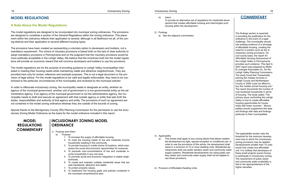# **MODEL REGULATIONS**

#### **A Note About the Model Regulations**

The model regulations are designed to be incorporated into municipal zoning ordinances. The provisions are designed to constitute a section of the General Regulations within the zoning ordinance. This placement within the ordinance reflects their application to several, although in all likelihood not all, of the zoning districts and their application to several different housing types.

The provisions have been created as representing a voluntary option to developers and builders, not a mandatory requirement. The choice of voluntary provisions is based both on the lack of clear authority to adopt mandatory provisions in Pennsylvania and on the judgment that the voluntary provisions would be more politically acceptable in the Lehigh Valley. We believe that the incentives built into the model regulations will provide an economic reward that will convince developers and builders to use the provisions.

The model regulations are for the purpose of providing guidance to Lehigh Valley municipalities interested in meeting their housing needs while maintaining viable and attractive neighborhoods. They are provided here only for review, reference and example purposes. This is not a legal document or the provision of legal advice. For the model regulations to be valid and legally enforceable, they need to be customized to the particular circumstances of the municipality and reviewed by the municipal solicitor.

In order to effectuate inclusionary zoning, the municipality needs to designate an entity, whether an agency of the municipal government, another unit of government or a non-governmental entity as the administrative agency. If an agency of the municipal government is not the administrative agency, the municipality needs to draft and execute an agreement with that outside agency or entity that sets forth the duties, responsibilities and authority of that agency and entity. The provisions of such an agreement are not contained in the model zoning ordinance whereas they are outside of the bounds of zoning.

Special thanks to the Montgomery County (PA) Planning Commission for the permission to use the Inclusionary Zoning Model Ordinance as the basis for the model ordinance included in this report.

# **MODEL REGULATIONS COMMENTARY**

# **INCLUSIONARY ZONING MODEL ORDINANCE**

- 1) Purpose and Intent
	- a) Purpose
		- 1. To increase the supply of affordable housing.
		- 2. To meet the housing needs of low and moderate income households residing in the community.
		- 3. To provide housing in a wide choice of locations, which maximizes the social and economic opportunities for everyone.
		- 4. To preclude over-concentrations of low and moderate income households in any one area.
		- 5. To promote social and economic integration in stable neighborhoods.
		- 6. To create and maintain suitable residential areas that are well-maintained, attractive and stable.
		- 7. To protect property values.
		- 8. To implement the housing goals and policies contained in the municipal comprehensive plan.

#### **COMMENTARY**

The findings section is essential in providing the justification for the ordinance in the event of a legal challenge. The municipality should cite existing evidence of a shortage of affordable housing, creating the need for a solution such as the inclusionary zoning provisions. On a bi-county basis, the report *An Affordable Housing Assessment of the Lehigh Valley in Pennsylvania* provides such evidence. This April 4, 2007 report was prepared by Mullin & Lonergan Associates Inc. for the Lehigh Valley Planning Commission. The study found that "households earning the median incomes in Lehigh County and Northampton County in 2006 could not afford to buy the median priced housing unit." The report documents the number of cost burdened households in terms of housing. The study states "The primary issue confronting the Lehigh Valley is how to create affordable housing opportunities for households with lower incomes." Municipalities should supplement this data and findings with data and findings particular to their municipalities.

The applicability section sets the threshold for the minimum development size to which the inclusionary zoning provisions may be applied. Developments smaller than 15 units would only create one affordable unit. It is unlikely that developers of these small projects would choose to participate in inclusionary zoning. The requirement of public sewer and community water availability is tied to the appropriateness of the higher densities.

- b) Intent
	- To provide an alternative set of regulations for residential development that creates affordable housing and intermingles such housing within the development.
- 2) Findings
	- a) See the adjacent commentary.

- 3) Applicability
	- a) This article shall apply to any zoning district that allows residential development by-right, special exception or conditional use. In order to use the provisions of this article, the development shall result in a minimum of 15 or more dwelling units. Residential developments shall use public sanitary sewer and community water supply systems. Residential developments not using public sanitary sewer and community water supply shall not be eligible to use these provisions.

4) Provision of Affordable Dwelling Units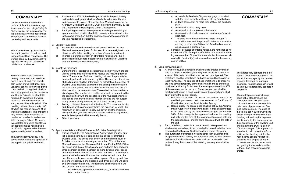# **COMMENTARY**

Consistent with the recommendations of *An Affordable Housing Assessment of the Lehigh Valley in Pennsylvania*, the inclusionary zoning targets low income households. The program can be used for both ownership and rental units.

The "Certificate of Qualification" is the administrative procedure used to identify qualified households. This work is done by the Administrative Agency, relieving the developer/ builder from such work.

Below is an example of how the density bonus works. A developer owns a tract of land. The sketch plan layout shows that under conventional zoning, 100 dwelling units could be built. Using the inclusionary zoning provisions, the developer would build 15 units as affordable housing. In exchange, he would receive a 20% density bonus. In sum, he would be able to build 120 dwelling units on the property, 105 of which are market rate and 15 of which are affordable. The ordinance may include other incentives. A number of possible incentives are listed on pages 10 and 11. Incentives related to funding assistance, tax abatement and housing type modification appear to be the most appropriate types of incentives.

The Administrative Agency is responsible for setting the specifics of the appropriate prices and rents.

- a) A minimum of 15% of the dwelling units within the participating residential development shall be affordable to households with an income not to exceed 80% of the Area Median Income for the Allentown-Bethlehem-Easton MSA as determined annually by the US Department of Housing and Urban Development.
- b) Participating residential developments including or consisting of apartments shall provide affordable housing units as rental units in the same proportion that the apartments comprise a portion of the total residential development.

#### 5) Eligible Households

- a) Households whose income does not exceed 80% of the Area Median Income as adjusted for household size are eligible to purchase an affordable dwelling or rent an affordable apartment.
- b) In order to purchase or rent an affordable housing unit, the income-eligible household must receive a "Certificate of Qualification" from the Administrative Agency.

#### 6) Incentives Provisions

- a) Density bonus. Residential developments complying with the provisions of this article are eligible to receive the following density bonus. The number of allowed dwelling units on the property to be developed shall be increased by 20%. The number of additional dwelling units shall be determined by calculating the number of dwelling units allowable pursuant to the zoning ordinance given the size of the parcel, the lot size/density standards and the environmental protection provisions. These shall be illustrated on a sketch plan. The number of possible units shall be determined by the zoning officer with the assistance of the municipal engineer. The bonus units may be sold at market rate and are not subject to any additional requirements for affordable dwelling units.
- b) Zoning ordinance dimensional adjustments. The minimum lot size and dimensional standards (including the minimum lot width, the maximum lot coverage by impervious cover, and the minimum front yard, side yard and rear yard setbacks) shall be adjusted to enable development with the density bonus.
- c) Other incentives.
- 7) Appropriate Sale and Rental Prices for Affordable Dwelling Units
	- a) Pricing schedule. The Administrative Agency shall annually publish a pricing schedule of sale and rental prices for affordable dwelling units. The prices shall be set at the maximum level affordable to households earning no more than 80% of the Area Median Income for the Allentown-Bethlehem-Easton MSA. Different prices shall be set for efficiency, one-bedroom, two-bedroom, three-bedroom and four-bedroom or more dwelling units, based on an assumed household size for each unit size. The number of persons in the household equals the number of bedrooms plus one. For example, one person will occupy an efficiency unit, two persons will occupy a one-bedroom unit, three persons will occupy a two-bedroom unit, etc. The following additional factors will also be used in the calculations:
		- 1. For owner-occupied affordable housing, prices will be calculated on the basis of:

#### 20 Inclusionary Zoning Inclusionary Toning Inclusionary Zoning Inclusionary Zoning 21

# **COMMENTARY**

The affordability controls are to be set at a given number of years. The model does not specify the number of years, leaving it to municipal discretion. Another approach would be to require affordability controls in perpetuity.

The model provisions include a basic set of standards. As the Guide portion of this publication points out, several more sophisticated sets of provisions can fine tune these controls. The price of the sale is set in such a way as to reflect changes in the value of the dwelling unit and capital improvements made by the owners during their occupancy of the dwelling unit and granting the owner a portion of those changes. This approach is intended to help retain the affordability of the dwelling unit for the next income-eligible household, providing for a degree of return on investment for the owner while recognizing the subsidy provided to them, thus preventing windfall profits.

- a. An available fixed-rate 30-year mortgage, consistent with the most recently published rate by Freddie Mac.
- b. A down payment of no more than 20% of the purchase price.
- c. A calculation of property taxes.
- d. A calculation of homeowner's insurance.
- e. A calculation of condominium or homeowners' association fees.
- f. The price found based on items 7)a)1a through 7) a)1e will not exceed the price affordable to households earning no more than 80% of the Area Median Income as calculated in Section 7)a).
- 2. For renter-occupied affordable housing, the rent shall be no more than 30% of the price affordable to households earning no more than 80% of the Area Median Income as calculated in Section 7)a), minus an allowance for the monthly cost of utilities.
- 8) Long-Term Affordability
	- a) All owner-occupied affordable dwelling units created by this article shall have limitations governing their resale for a period of x years. This period shall be known as the control period. The limitations shall be established and administered by the Administrative Agency. The purpose of these limitations is to preserve the long-term affordability of the dwelling unit and to ensure its continued availability for households earning no more than 80% of the Average Median Income. The resale controls shall be established through a deed restriction on the property and shall apply during the control period.
		- 1. Purchaser restriction. All resale transactions must be to qualified purchasers that have received a Certificate of Qualification from the Administrative Agency.
		- 2. Resale price. The resale price shall be set by the Administrative Agency on the following basis. It shall equal the total of the price paid by the household desiring to sell the unit, 50% of the change in the appraised value of the dwelling unit between the time of the most recent previous sale and the proposed sale, and the costs associated with the sale of the unit.
	- b) Each rental unit created in accordance with these provisions shall remain rented only to income-eligible households that have received a Certificate of Qualification for a period of x years.
	- c) The purchaser of affordable housing other than dwellings built as apartments shall occupy the purchased units as their primary residence. Individually-owned units shall not be rented to third parties during the course of the period governing resale limitations.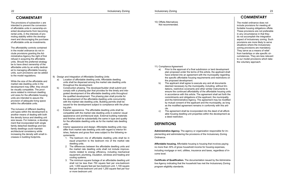**COMMENTARY**

The provisions of subsection c are intended to prevent the conversion of affordable units in ownership-oriented developments from becoming rental units, in the interests of promoting stability within the development and discouraging the purchase of affordable units as investments.

The affordability controls contained in the model ordinance do not include provisions granting the Administrative Agency the right of first refusal in acquiring the affordable units. Should the preferred strategy be to have direct ownership of the affordable units by an entity dedicated to managing affordable housing units, such provisions can be added to the model regulations.

While the size of the affordable and market rate dwelling units in the development may differ, they should be visually compatible. The provisions related to minimum dwelling unit sizes for the affordable housing units are intended to assure the provision of adequate living space within the affordable units.

The inclusion of different dwelling unit types within the development is another means of dealing with both the density bonus and dwelling unit size issues. For instance, a development that incorporated both single family detached dwellings and two family dwellings could maintain architectural consistency while increasing the density with small increases in building footprints.

9) Design and Integration of Affordable Dwelling Units

- a) Location of affordable dwelling units. Affordable dwelling units shall be dispersed among the market rate dwelling units throughout the development.
- b) Construction phasing. The developer/builder shall submit and comply with a phasing plan that provides for the timely and integrated development of the affordable dwelling units throughout the qualified development. The phasing plan shall provide for the development of the affordable dwelling units concurrently with the market rate dwelling units. Building permits shall be issued for the development subject to compliance with the phasing plan.
- c) Exterior appearance. The affordable dwelling units shall be compatible with the market rate dwelling units in exterior visual appearance and architectural style. External building materials and finishes shall be substantially the same in type and quality for the affordable dwelling units as for the market rate dwelling units.
- d) Interior appearance and design. Affordable dwelling units may differ from market rate dwelling units with regard to interior finishes, features and gross floor area subject to the following requirements:
	- 1. The bedroom mix of affordable dwelling units shall be in equal proportion to the bedroom mix of the market rate dwelling units.
	- 2. The differences between the affordable dwelling units and the market rate dwelling units shall not include improvements related to energy efficiency, including mechanical equipment, plumbing, insulation, windows and heating and cooling systems.
	- 3. The minimum square footage of an affordable dwelling unit shall not be less than 750 square feet per one-bedroom unit, 1,000 square feet per two-bedroom unit, 1,100 square feet per three-bedroom unit and 1,250 square feet per four or more bedroom unit.

# **COMMENTARY**

The model ordinance does not include provisions for meeting affordable housing obligations offsite. These provisions are not preferable in any circumstance in that they do not accomplish the integration aspect of inclusionary zoning. Such provisions are more likely to serve situations where the inclusionary zoning provisions are mandatory. They serve as a means of relief from hardships or site specific circumstances. They are less relevant to our model provisions which take the voluntary approach.

10) Offsite Alternatives Not recommended.

11) Compliance Agreement

- a) Prior to the approval of a final subdivision or land development plan proposed under the terms of this article, the applicant shall have entered into an agreement with the municipality regarding the specific affordable housing requirements and restrictions on the proposed development.
- b) The applicant shall agree to execute any and all documents deemed necessary by the municipality, including, without limitations, restrictive covenants and other similar instruments to ensure the continued affordability of the affordable housing units in accordance with this article. The agreement shall set forth the commitments and obligations of the applicant, the municipality and the Administrative Agency. The agreement may be modified by mutual consent of the applicant and the municipality, as long as the modified agreement remains in conformity with this article.
- c) The agreement shall be incorporated into the deed of all affordable housing dwelling unit properties within the development as a deed restriction.

# **DEFINITIONS**

**Administrative Agency.** The agency or organization responsible for implementing and administering the provisions of the Inclusionary Zoning Ordinance.

**Affordable housing.** Affordable housing is housing that involves paying no more than 30% of gross household income for housing expenses, including mortgage or rent, utilities, insurance and taxes, regardless of income level.

**Certificate of Qualification.** The documentation issued by the Administrative Agency indicating that the household has met the Inclusionary Zoning program eligibility standards.